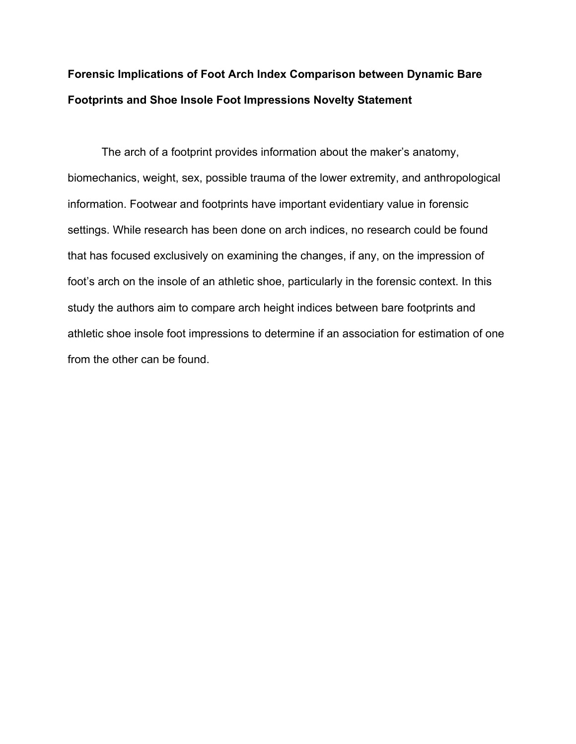## **Forensic Implications of Foot Arch Index Comparison between Dynamic Bare Footprints and Shoe Insole Foot Impressions Novelty Statement**

The arch of a footprint provides information about the maker's anatomy, biomechanics, weight, sex, possible trauma of the lower extremity, and anthropological information. Footwear and footprints have important evidentiary value in forensic settings. While research has been done on arch indices, no research could be found that has focused exclusively on examining the changes, if any, on the impression of foot's arch on the insole of an athletic shoe, particularly in the forensic context. In this study the authors aim to compare arch height indices between bare footprints and athletic shoe insole foot impressions to determine if an association for estimation of one from the other can be found.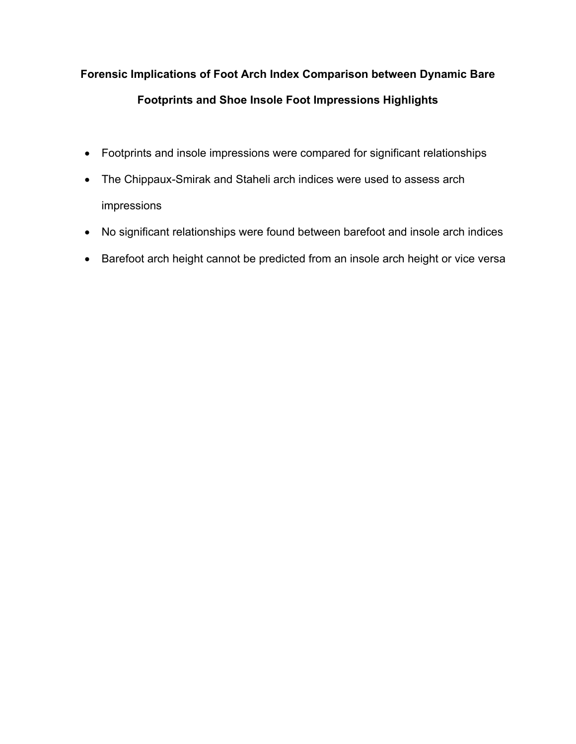# **Forensic Implications of Foot Arch Index Comparison between Dynamic Bare Footprints and Shoe Insole Foot Impressions Highlights**

- Footprints and insole impressions were compared for significant relationships
- The Chippaux-Smirak and Staheli arch indices were used to assess arch impressions
- No significant relationships were found between barefoot and insole arch indices
- Barefoot arch height cannot be predicted from an insole arch height or vice versa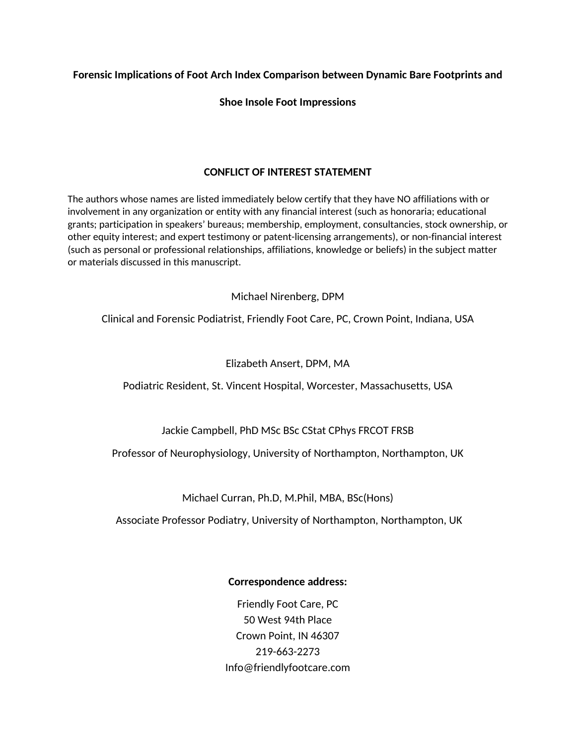**Forensic Implications of Foot Arch Index Comparison between Dynamic Bare Footprints and** 

## **Shoe Insole Foot Impressions**

## **CONFLICT OF INTEREST STATEMENT**

The authors whose names are listed immediately below certify that they have NO affiliations with or involvement in any organization or entity with any financial interest (such as honoraria; educational grants; participation in speakers' bureaus; membership, employment, consultancies, stock ownership, or other equity interest; and expert testimony or patent-licensing arrangements), or non-financial interest (such as personal or professional relationships, affiliations, knowledge or beliefs) in the subject matter or materials discussed in this manuscript.

Michael Nirenberg, DPM

Clinical and Forensic Podiatrist, Friendly Foot Care, PC, Crown Point, Indiana, USA

## Elizabeth Ansert, DPM, MA

Podiatric Resident, St. Vincent Hospital, Worcester, Massachusetts, USA

## Jackie Campbell, PhD MSc BSc CStat CPhys FRCOT FRSB

Professor of Neurophysiology, University of Northampton, Northampton, UK

Michael Curran, Ph.D, M.Phil, MBA, BSc(Hons)

Associate Professor Podiatry, University of Northampton, Northampton, UK

## **Correspondence address:**

Friendly Foot Care, PC 50 West 94th Place Crown Point, IN 46307 219-663-2273 Info@friendlyfootcare.com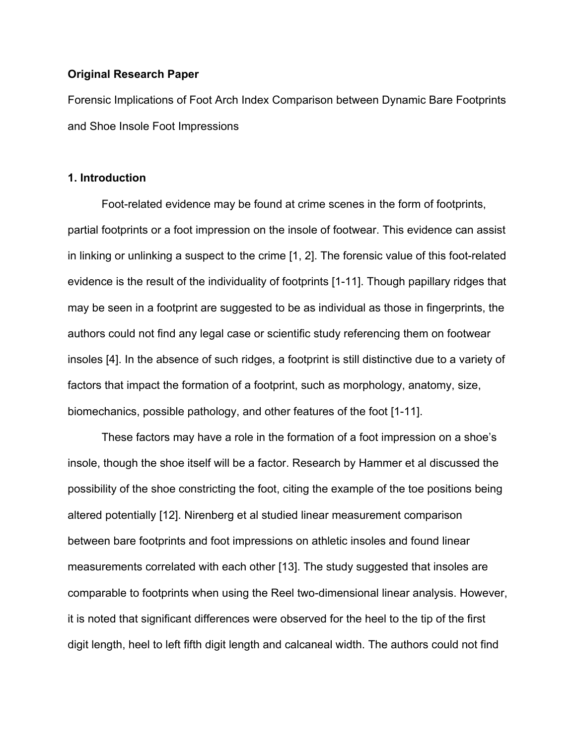#### **Original Research Paper**

Forensic Implications of Foot Arch Index Comparison between Dynamic Bare Footprints and Shoe Insole Foot Impressions

### **1. Introduction**

Foot-related evidence may be found at crime scenes in the form of footprints, partial footprints or a foot impression on the insole of footwear. This evidence can assist in linking or unlinking a suspect to the crime [1, 2]. The forensic value of this foot-related evidence is the result of the individuality of footprints [1-11]. Though papillary ridges that may be seen in a footprint are suggested to be as individual as those in fingerprints, the authors could not find any legal case or scientific study referencing them on footwear insoles [4]. In the absence of such ridges, a footprint is still distinctive due to a variety of factors that impact the formation of a footprint, such as morphology, anatomy, size, biomechanics, possible pathology, and other features of the foot [1-11].

These factors may have a role in the formation of a foot impression on a shoe's insole, though the shoe itself will be a factor. Research by Hammer et al discussed the possibility of the shoe constricting the foot, citing the example of the toe positions being altered potentially [12]. Nirenberg et al studied linear measurement comparison between bare footprints and foot impressions on athletic insoles and found linear measurements correlated with each other [13]. The study suggested that insoles are comparable to footprints when using the Reel two-dimensional linear analysis. However, it is noted that significant differences were observed for the heel to the tip of the first digit length, heel to left fifth digit length and calcaneal width. The authors could not find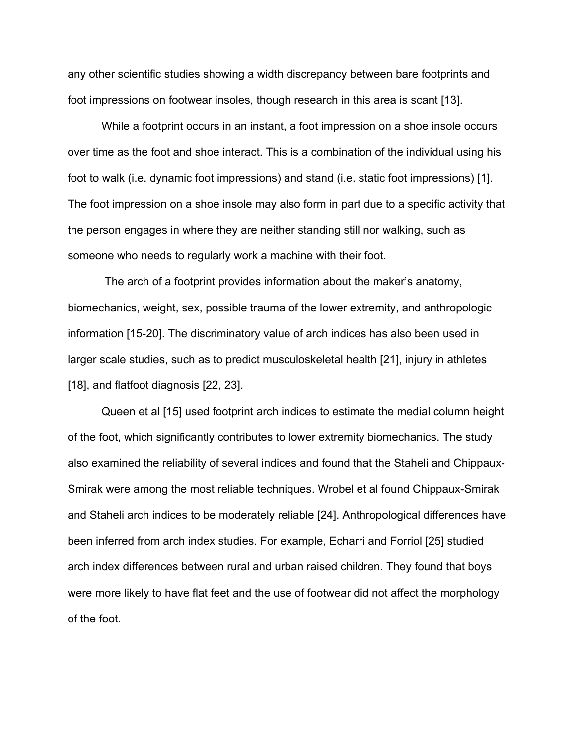any other scientific studies showing a width discrepancy between bare footprints and foot impressions on footwear insoles, though research in this area is scant [13].

While a footprint occurs in an instant, a foot impression on a shoe insole occurs over time as the foot and shoe interact. This is a combination of the individual using his foot to walk (i.e. dynamic foot impressions) and stand (i.e. static foot impressions) [1]. The foot impression on a shoe insole may also form in part due to a specific activity that the person engages in where they are neither standing still nor walking, such as someone who needs to regularly work a machine with their foot.

 The arch of a footprint provides information about the maker's anatomy, biomechanics, weight, sex, possible trauma of the lower extremity, and anthropologic information [15-20]. The discriminatory value of arch indices has also been used in larger scale studies, such as to predict musculoskeletal health [21], injury in athletes [18], and flatfoot diagnosis [22, 23].

Queen et al [15] used footprint arch indices to estimate the medial column height of the foot, which significantly contributes to lower extremity biomechanics. The study also examined the reliability of several indices and found that the Staheli and Chippaux-Smirak were among the most reliable techniques. Wrobel et al found Chippaux-Smirak and Staheli arch indices to be moderately reliable [24]. Anthropological differences have been inferred from arch index studies. For example, Echarri and Forriol [25] studied arch index differences between rural and urban raised children. They found that boys were more likely to have flat feet and the use of footwear did not affect the morphology of the foot.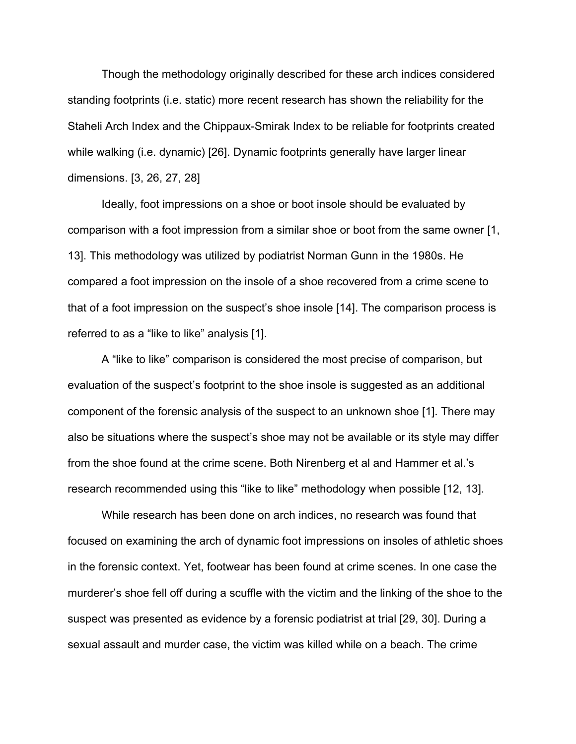Though the methodology originally described for these arch indices considered standing footprints (i.e. static) more recent research has shown the reliability for the Staheli Arch Index and the Chippaux-Smirak Index to be reliable for footprints created while walking (i.e. dynamic) [26]. Dynamic footprints generally have larger linear dimensions. [3, 26, 27, 28]

Ideally, foot impressions on a shoe or boot insole should be evaluated by comparison with a foot impression from a similar shoe or boot from the same owner [1, 13]. This methodology was utilized by podiatrist Norman Gunn in the 1980s. He compared a foot impression on the insole of a shoe recovered from a crime scene to that of a foot impression on the suspect's shoe insole [14]. The comparison process is referred to as a "like to like" analysis [1].

A "like to like" comparison is considered the most precise of comparison, but evaluation of the suspect's footprint to the shoe insole is suggested as an additional component of the forensic analysis of the suspect to an unknown shoe [1]. There may also be situations where the suspect's shoe may not be available or its style may differ from the shoe found at the crime scene. Both Nirenberg et al and Hammer et al.'s research recommended using this "like to like" methodology when possible [12, 13].

While research has been done on arch indices, no research was found that focused on examining the arch of dynamic foot impressions on insoles of athletic shoes in the forensic context. Yet, footwear has been found at crime scenes. In one case the murderer's shoe fell off during a scuffle with the victim and the linking of the shoe to the suspect was presented as evidence by a forensic podiatrist at trial [29, 30]. During a sexual assault and murder case, the victim was killed while on a beach. The crime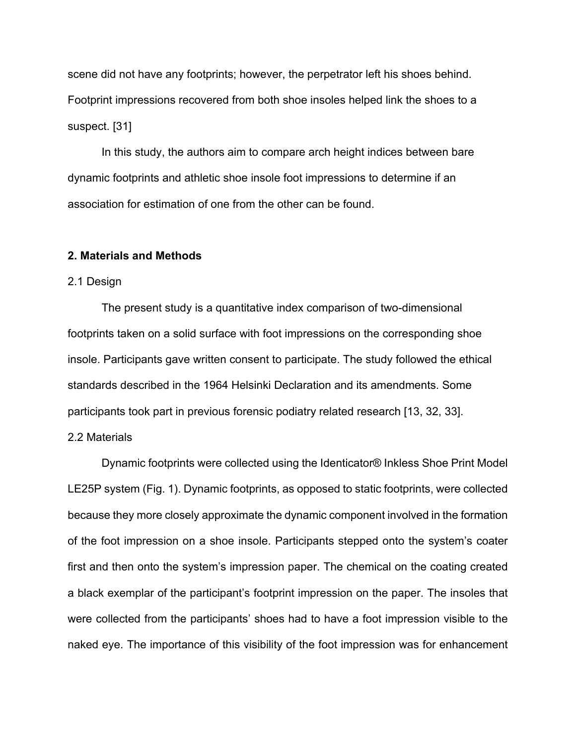scene did not have any footprints; however, the perpetrator left his shoes behind. Footprint impressions recovered from both shoe insoles helped link the shoes to a suspect. [31]

In this study, the authors aim to compare arch height indices between bare dynamic footprints and athletic shoe insole foot impressions to determine if an association for estimation of one from the other can be found.

#### **2. Materials and Methods**

#### 2.1 Design

The present study is a quantitative index comparison of two-dimensional footprints taken on a solid surface with foot impressions on the corresponding shoe insole. Participants gave written consent to participate. The study followed the ethical standards described in the 1964 Helsinki Declaration and its amendments. Some participants took part in previous forensic podiatry related research [13, 32, 33].

## 2.2 Materials

Dynamic footprints were collected using the Identicator® Inkless Shoe Print Model LE25P system (Fig. 1). Dynamic footprints, as opposed to static footprints, were collected because they more closely approximate the dynamic component involved in the formation of the foot impression on a shoe insole. Participants stepped onto the system's coater first and then onto the system's impression paper. The chemical on the coating created a black exemplar of the participant's footprint impression on the paper. The insoles that were collected from the participants' shoes had to have a foot impression visible to the naked eye. The importance of this visibility of the foot impression was for enhancement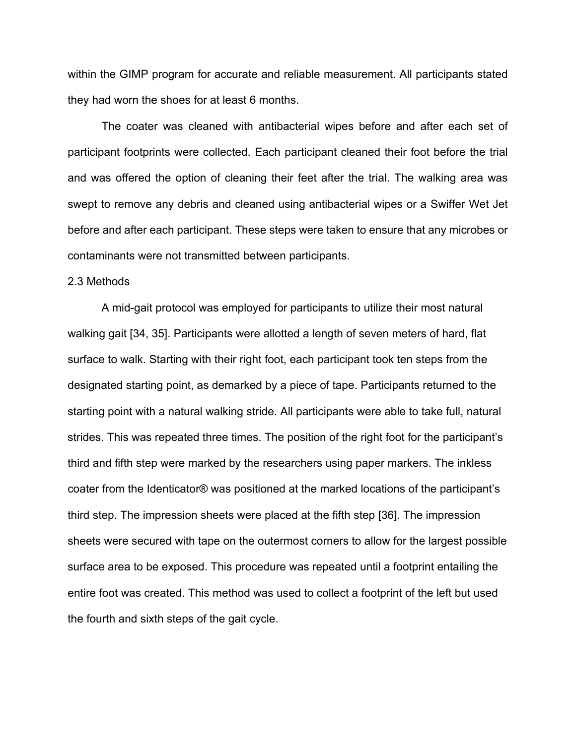within the GIMP program for accurate and reliable measurement. All participants stated they had worn the shoes for at least 6 months.

The coater was cleaned with antibacterial wipes before and after each set of participant footprints were collected. Each participant cleaned their foot before the trial and was offered the option of cleaning their feet after the trial. The walking area was swept to remove any debris and cleaned using antibacterial wipes or a Swiffer Wet Jet before and after each participant. These steps were taken to ensure that any microbes or contaminants were not transmitted between participants.

#### 2.3 Methods

A mid-gait protocol was employed for participants to utilize their most natural walking gait [34, 35]. Participants were allotted a length of seven meters of hard, flat surface to walk. Starting with their right foot, each participant took ten steps from the designated starting point, as demarked by a piece of tape. Participants returned to the starting point with a natural walking stride. All participants were able to take full, natural strides. This was repeated three times. The position of the right foot for the participant's third and fifth step were marked by the researchers using paper markers. The inkless coater from the Identicator® was positioned at the marked locations of the participant's third step. The impression sheets were placed at the fifth step [36]. The impression sheets were secured with tape on the outermost corners to allow for the largest possible surface area to be exposed. This procedure was repeated until a footprint entailing the entire foot was created. This method was used to collect a footprint of the left but used the fourth and sixth steps of the gait cycle.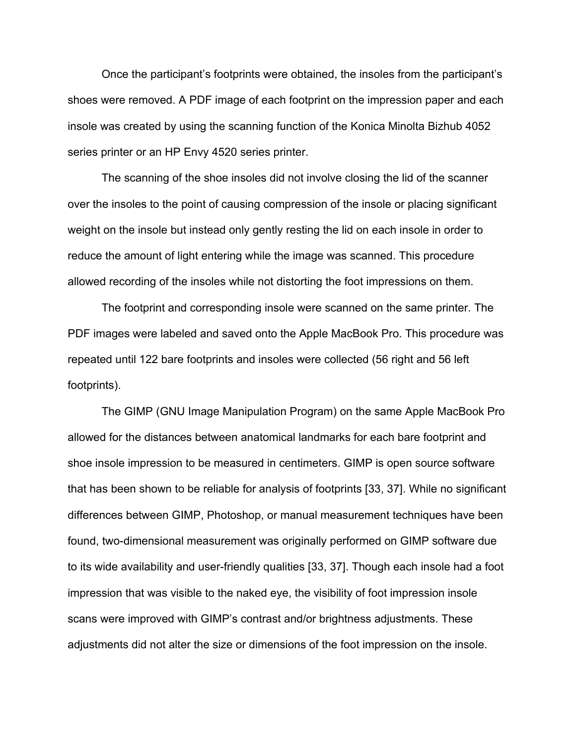Once the participant's footprints were obtained, the insoles from the participant's shoes were removed. A PDF image of each footprint on the impression paper and each insole was created by using the scanning function of the Konica Minolta Bizhub 4052 series printer or an HP Envy 4520 series printer.

The scanning of the shoe insoles did not involve closing the lid of the scanner over the insoles to the point of causing compression of the insole or placing significant weight on the insole but instead only gently resting the lid on each insole in order to reduce the amount of light entering while the image was scanned. This procedure allowed recording of the insoles while not distorting the foot impressions on them.

The footprint and corresponding insole were scanned on the same printer. The PDF images were labeled and saved onto the Apple MacBook Pro. This procedure was repeated until 122 bare footprints and insoles were collected (56 right and 56 left footprints).

The GIMP (GNU Image Manipulation Program) on the same Apple MacBook Pro allowed for the distances between anatomical landmarks for each bare footprint and shoe insole impression to be measured in centimeters. GIMP is open source software that has been shown to be reliable for analysis of footprints [33, 37]. While no significant differences between GIMP, Photoshop, or manual measurement techniques have been found, two-dimensional measurement was originally performed on GIMP software due to its wide availability and user-friendly qualities [33, 37]. Though each insole had a foot impression that was visible to the naked eye, the visibility of foot impression insole scans were improved with GIMP's contrast and/or brightness adjustments. These adjustments did not alter the size or dimensions of the foot impression on the insole.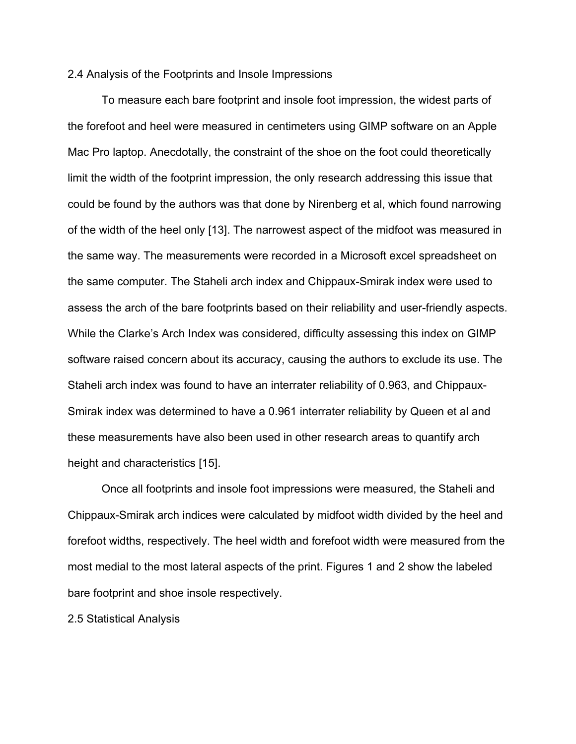#### 2.4 Analysis of the Footprints and Insole Impressions

To measure each bare footprint and insole foot impression, the widest parts of the forefoot and heel were measured in centimeters using GIMP software on an Apple Mac Pro laptop. Anecdotally, the constraint of the shoe on the foot could theoretically limit the width of the footprint impression, the only research addressing this issue that could be found by the authors was that done by Nirenberg et al, which found narrowing of the width of the heel only [13]. The narrowest aspect of the midfoot was measured in the same way. The measurements were recorded in a Microsoft excel spreadsheet on the same computer. The Staheli arch index and Chippaux-Smirak index were used to assess the arch of the bare footprints based on their reliability and user-friendly aspects. While the Clarke's Arch Index was considered, difficulty assessing this index on GIMP software raised concern about its accuracy, causing the authors to exclude its use. The Staheli arch index was found to have an interrater reliability of 0.963, and Chippaux-Smirak index was determined to have a 0.961 interrater reliability by Queen et al and these measurements have also been used in other research areas to quantify arch height and characteristics [15].

Once all footprints and insole foot impressions were measured, the Staheli and Chippaux-Smirak arch indices were calculated by midfoot width divided by the heel and forefoot widths, respectively. The heel width and forefoot width were measured from the most medial to the most lateral aspects of the print. Figures 1 and 2 show the labeled bare footprint and shoe insole respectively.

2.5 Statistical Analysis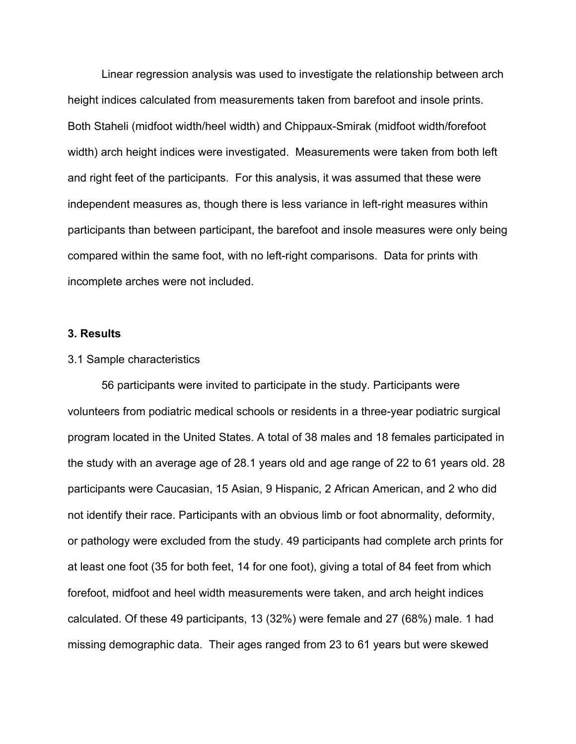Linear regression analysis was used to investigate the relationship between arch height indices calculated from measurements taken from barefoot and insole prints. Both Staheli (midfoot width/heel width) and Chippaux-Smirak (midfoot width/forefoot width) arch height indices were investigated. Measurements were taken from both left and right feet of the participants. For this analysis, it was assumed that these were independent measures as, though there is less variance in left-right measures within participants than between participant, the barefoot and insole measures were only being compared within the same foot, with no left-right comparisons. Data for prints with incomplete arches were not included.

#### **3. Results**

#### 3.1 Sample characteristics

56 participants were invited to participate in the study. Participants were volunteers from podiatric medical schools or residents in a three-year podiatric surgical program located in the United States. A total of 38 males and 18 females participated in the study with an average age of 28.1 years old and age range of 22 to 61 years old. 28 participants were Caucasian, 15 Asian, 9 Hispanic, 2 African American, and 2 who did not identify their race. Participants with an obvious limb or foot abnormality, deformity, or pathology were excluded from the study. 49 participants had complete arch prints for at least one foot (35 for both feet, 14 for one foot), giving a total of 84 feet from which forefoot, midfoot and heel width measurements were taken, and arch height indices calculated. Of these 49 participants, 13 (32%) were female and 27 (68%) male. 1 had missing demographic data. Their ages ranged from 23 to 61 years but were skewed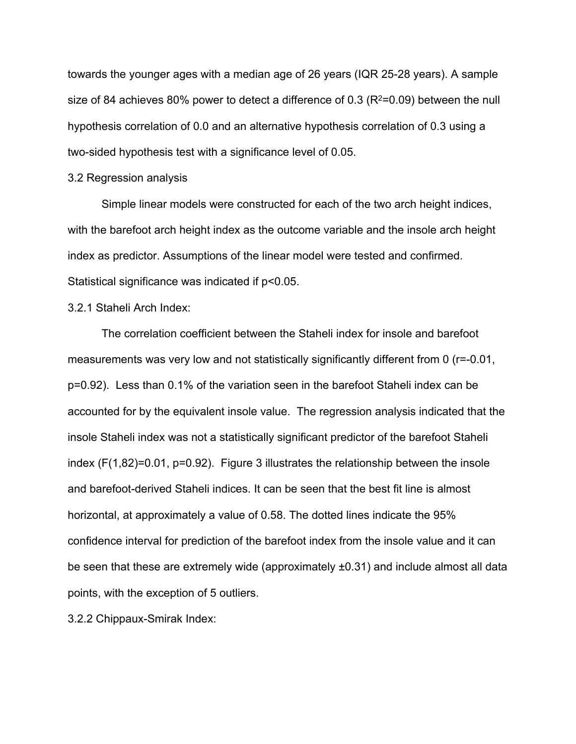towards the younger ages with a median age of 26 years (IQR 25-28 years). A sample size of 84 achieves 80% power to detect a difference of 0.3 ( $R^2$ =0.09) between the null hypothesis correlation of 0.0 and an alternative hypothesis correlation of 0.3 using a two-sided hypothesis test with a significance level of 0.05.

#### 3.2 Regression analysis

Simple linear models were constructed for each of the two arch height indices, with the barefoot arch height index as the outcome variable and the insole arch height index as predictor. Assumptions of the linear model were tested and confirmed. Statistical significance was indicated if p<0.05.

#### 3.2.1 Staheli Arch Index:

The correlation coefficient between the Staheli index for insole and barefoot measurements was very low and not statistically significantly different from 0 (r=-0.01, p=0.92). Less than 0.1% of the variation seen in the barefoot Staheli index can be accounted for by the equivalent insole value. The regression analysis indicated that the insole Staheli index was not a statistically significant predictor of the barefoot Staheli index (F(1,82)=0.01, p=0.92). Figure 3 illustrates the relationship between the insole and barefoot-derived Staheli indices. It can be seen that the best fit line is almost horizontal, at approximately a value of 0.58. The dotted lines indicate the 95% confidence interval for prediction of the barefoot index from the insole value and it can be seen that these are extremely wide (approximately ±0.31) and include almost all data points, with the exception of 5 outliers.

3.2.2 Chippaux-Smirak Index: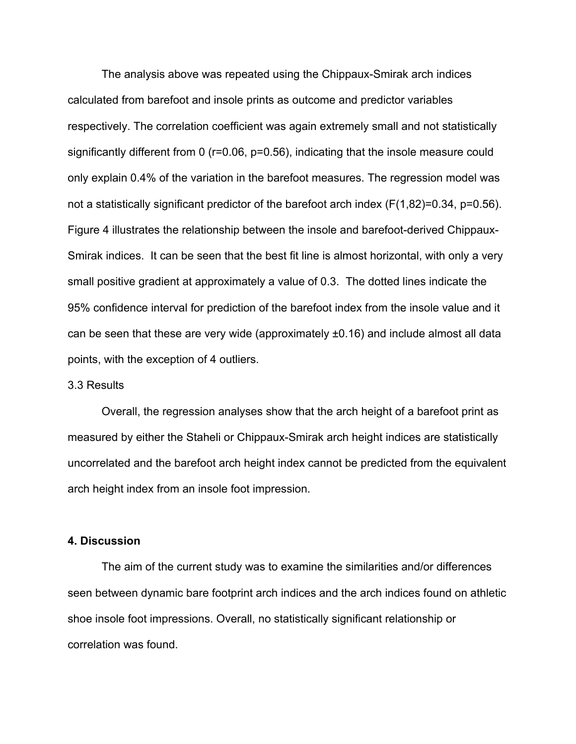The analysis above was repeated using the Chippaux-Smirak arch indices calculated from barefoot and insole prints as outcome and predictor variables respectively. The correlation coefficient was again extremely small and not statistically significantly different from 0 (r=0.06, p=0.56), indicating that the insole measure could only explain 0.4% of the variation in the barefoot measures. The regression model was not a statistically significant predictor of the barefoot arch index (F(1,82)=0.34, p=0.56). Figure 4 illustrates the relationship between the insole and barefoot-derived Chippaux-Smirak indices. It can be seen that the best fit line is almost horizontal, with only a very small positive gradient at approximately a value of 0.3. The dotted lines indicate the 95% confidence interval for prediction of the barefoot index from the insole value and it can be seen that these are very wide (approximately ±0.16) and include almost all data points, with the exception of 4 outliers.

#### 3.3 Results

Overall, the regression analyses show that the arch height of a barefoot print as measured by either the Staheli or Chippaux-Smirak arch height indices are statistically uncorrelated and the barefoot arch height index cannot be predicted from the equivalent arch height index from an insole foot impression.

#### **4. Discussion**

The aim of the current study was to examine the similarities and/or differences seen between dynamic bare footprint arch indices and the arch indices found on athletic shoe insole foot impressions. Overall, no statistically significant relationship or correlation was found.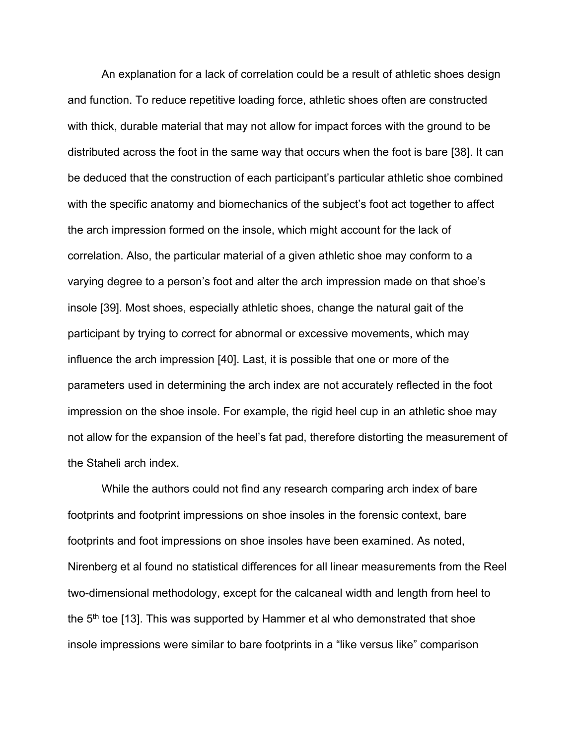An explanation for a lack of correlation could be a result of athletic shoes design and function. To reduce repetitive loading force, athletic shoes often are constructed with thick, durable material that may not allow for impact forces with the ground to be distributed across the foot in the same way that occurs when the foot is bare [38]. It can be deduced that the construction of each participant's particular athletic shoe combined with the specific anatomy and biomechanics of the subject's foot act together to affect the arch impression formed on the insole, which might account for the lack of correlation. Also, the particular material of a given athletic shoe may conform to a varying degree to a person's foot and alter the arch impression made on that shoe's insole [39]. Most shoes, especially athletic shoes, change the natural gait of the participant by trying to correct for abnormal or excessive movements, which may influence the arch impression [40]. Last, it is possible that one or more of the parameters used in determining the arch index are not accurately reflected in the foot impression on the shoe insole. For example, the rigid heel cup in an athletic shoe may not allow for the expansion of the heel's fat pad, therefore distorting the measurement of the Staheli arch index.

While the authors could not find any research comparing arch index of bare footprints and footprint impressions on shoe insoles in the forensic context, bare footprints and foot impressions on shoe insoles have been examined. As noted, Nirenberg et al found no statistical differences for all linear measurements from the Reel two-dimensional methodology, except for the calcaneal width and length from heel to the  $5<sup>th</sup>$  toe [13]. This was supported by Hammer et al who demonstrated that shoe insole impressions were similar to bare footprints in a "like versus like" comparison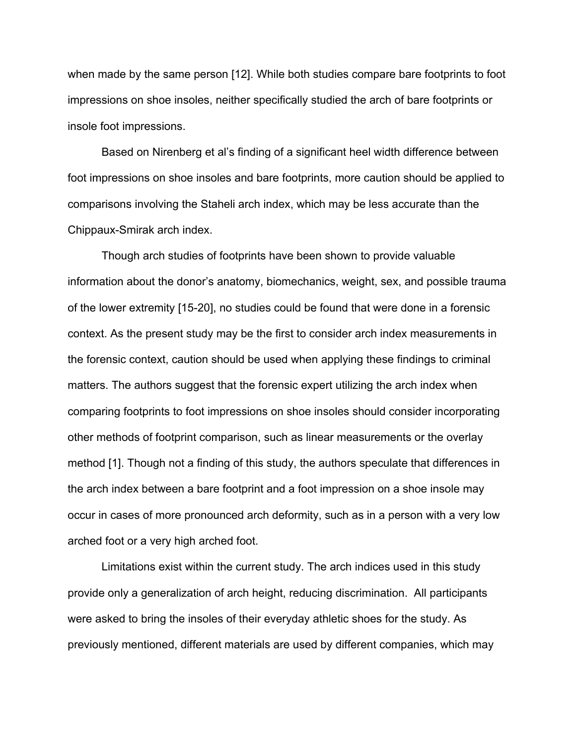when made by the same person [12]. While both studies compare bare footprints to foot impressions on shoe insoles, neither specifically studied the arch of bare footprints or insole foot impressions.

Based on Nirenberg et al's finding of a significant heel width difference between foot impressions on shoe insoles and bare footprints, more caution should be applied to comparisons involving the Staheli arch index, which may be less accurate than the Chippaux-Smirak arch index.

Though arch studies of footprints have been shown to provide valuable information about the donor's anatomy, biomechanics, weight, sex, and possible trauma of the lower extremity [15-20], no studies could be found that were done in a forensic context. As the present study may be the first to consider arch index measurements in the forensic context, caution should be used when applying these findings to criminal matters. The authors suggest that the forensic expert utilizing the arch index when comparing footprints to foot impressions on shoe insoles should consider incorporating other methods of footprint comparison, such as linear measurements or the overlay method [1]. Though not a finding of this study, the authors speculate that differences in the arch index between a bare footprint and a foot impression on a shoe insole may occur in cases of more pronounced arch deformity, such as in a person with a very low arched foot or a very high arched foot.

Limitations exist within the current study. The arch indices used in this study provide only a generalization of arch height, reducing discrimination. All participants were asked to bring the insoles of their everyday athletic shoes for the study. As previously mentioned, different materials are used by different companies, which may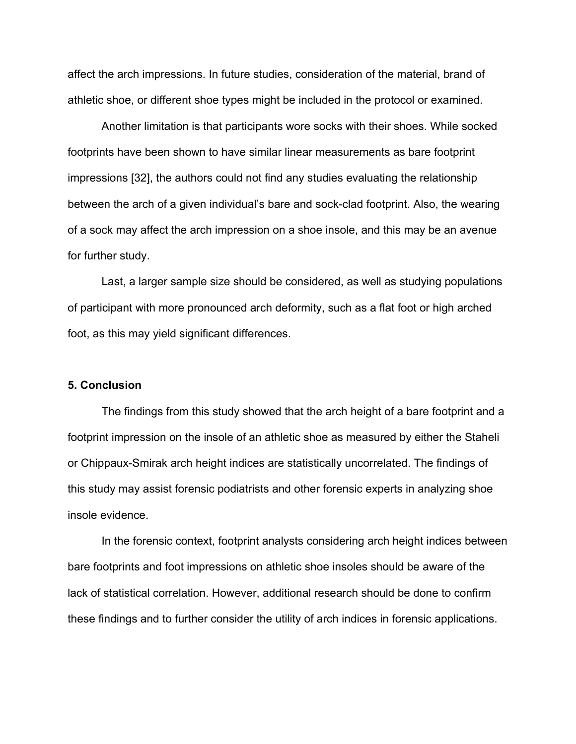affect the arch impressions. In future studies, consideration of the material, brand of athletic shoe, or different shoe types might be included in the protocol or examined.

Another limitation is that participants wore socks with their shoes. While socked footprints have been shown to have similar linear measurements as bare footprint impressions [32], the authors could not find any studies evaluating the relationship between the arch of a given individual's bare and sock-clad footprint. Also, the wearing of a sock may affect the arch impression on a shoe insole, and this may be an avenue for further study.

Last, a larger sample size should be considered, as well as studying populations of participant with more pronounced arch deformity, such as a flat foot or high arched foot, as this may yield significant differences.

#### **5. Conclusion**

The findings from this study showed that the arch height of a bare footprint and a footprint impression on the insole of an athletic shoe as measured by either the Staheli or Chippaux-Smirak arch height indices are statistically uncorrelated. The findings of this study may assist forensic podiatrists and other forensic experts in analyzing shoe insole evidence.

In the forensic context, footprint analysts considering arch height indices between bare footprints and foot impressions on athletic shoe insoles should be aware of the lack of statistical correlation. However, additional research should be done to confirm these findings and to further consider the utility of arch indices in forensic applications.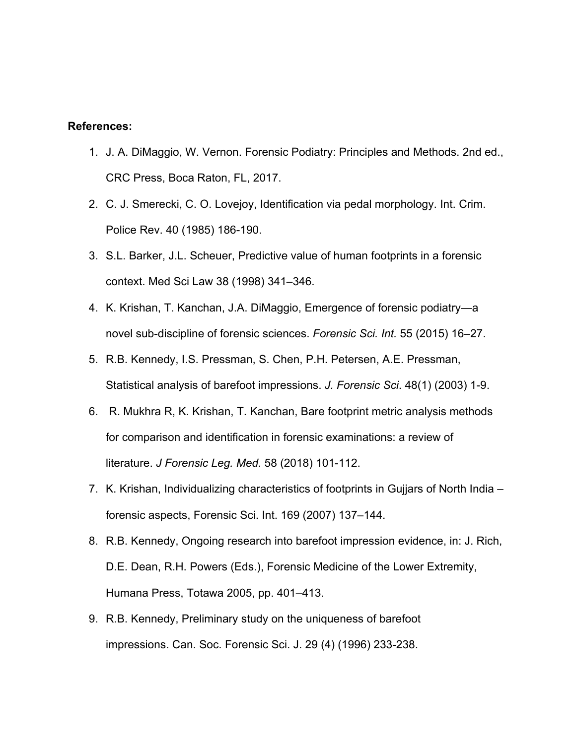## **References:**

- 1. J. A. DiMaggio, W. Vernon. Forensic Podiatry: Principles and Methods. 2nd ed., CRC Press, Boca Raton, FL, 2017.
- 2. C. J. Smerecki, C. O. Lovejoy, Identification via pedal morphology. Int. Crim. Police Rev. 40 (1985) 186-190.
- 3. S.L. Barker, J.L. Scheuer, Predictive value of human footprints in a forensic context. Med Sci Law 38 (1998) 341–346.
- 4. K. Krishan, T. Kanchan, J.A. DiMaggio, Emergence of forensic podiatry—a novel sub-discipline of forensic sciences. *Forensic Sci. Int.* 55 (2015) 16–27.
- 5. R.B. Kennedy, I.S. Pressman, S. Chen, P.H. Petersen, A.E. Pressman, Statistical analysis of barefoot impressions. *J. Forensic Sci*. 48(1) (2003) 1-9.
- 6. R. Mukhra R, K. Krishan, T. Kanchan, Bare footprint metric analysis methods for comparison and identification in forensic examinations: a review of literature. *J Forensic Leg. Med.* 58 (2018) 101-112.
- 7. K. Krishan, Individualizing characteristics of footprints in Gujjars of North India forensic aspects, Forensic Sci. Int. 169 (2007) 137–144.
- 8. R.B. Kennedy, Ongoing research into barefoot impression evidence, in: J. Rich, D.E. Dean, R.H. Powers (Eds.), Forensic Medicine of the Lower Extremity, Humana Press, Totawa 2005, pp. 401–413.
- 9. R.B. Kennedy, Preliminary study on the uniqueness of barefoot impressions. Can. Soc. Forensic Sci. J. 29 (4) (1996) 233-238.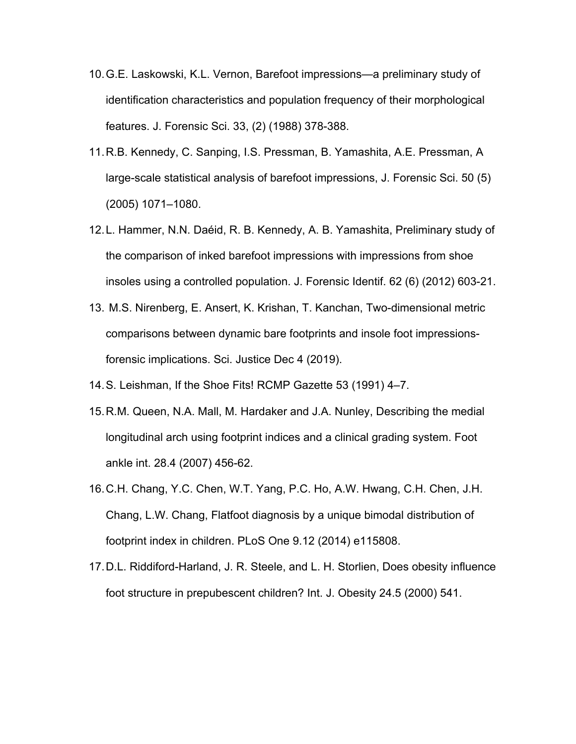- 10.G.E. Laskowski, K.L. Vernon, Barefoot impressions—a preliminary study of identification characteristics and population frequency of their morphological features. J. Forensic Sci. 33, (2) (1988) 378-388.
- 11.R.B. Kennedy, C. Sanping, I.S. Pressman, B. Yamashita, A.E. Pressman, A large-scale statistical analysis of barefoot impressions, J. Forensic Sci. 50 (5) (2005) 1071–1080.
- 12.L. Hammer, N.N. Daéid, R. B. Kennedy, A. B. Yamashita, Preliminary study of the comparison of inked barefoot impressions with impressions from shoe insoles using a controlled population. J. Forensic Identif. 62 (6) (2012) 603-21.
- 13. M.S. Nirenberg, E. Ansert, K. Krishan, T. Kanchan, Two-dimensional metric comparisons between dynamic bare footprints and insole foot impressionsforensic implications. Sci. Justice Dec 4 (2019).
- 14.S. Leishman, If the Shoe Fits! RCMP Gazette 53 (1991) 4–7.
- 15.R.M. Queen, N.A. Mall, M. Hardaker and J.A. Nunley, Describing the medial longitudinal arch using footprint indices and a clinical grading system. Foot ankle int. 28.4 (2007) 456-62.
- 16.C.H. Chang, Y.C. Chen, W.T. Yang, P.C. Ho, A.W. Hwang, C.H. Chen, J.H. Chang, L.W. Chang, Flatfoot diagnosis by a unique bimodal distribution of footprint index in children. PLoS One 9.12 (2014) e115808.
- 17.D.L. Riddiford-Harland, J. R. Steele, and L. H. Storlien, Does obesity influence foot structure in prepubescent children? Int. J. Obesity 24.5 (2000) 541.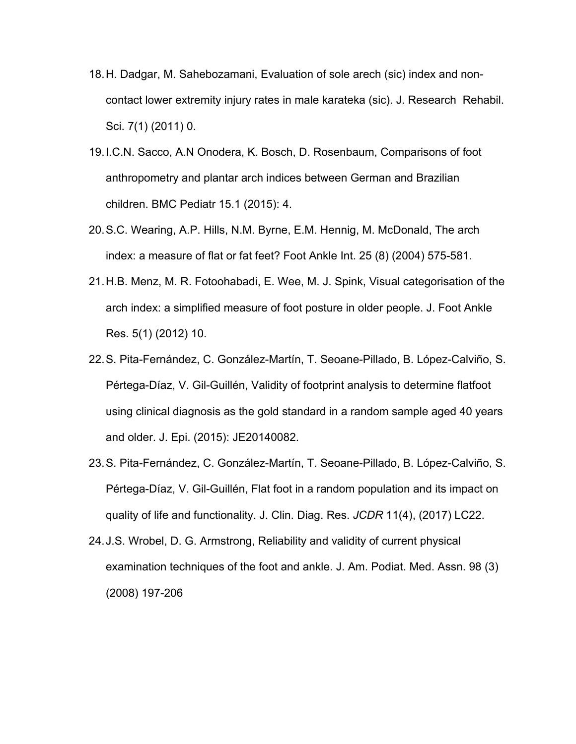- 18.H. Dadgar, M. Sahebozamani, Evaluation of sole arech (sic) index and noncontact lower extremity injury rates in male karateka (sic). J. Research Rehabil. Sci. 7(1) (2011) 0.
- 19.I.C.N. Sacco, A.N Onodera, K. Bosch, D. Rosenbaum, Comparisons of foot anthropometry and plantar arch indices between German and Brazilian children. BMC Pediatr 15.1 (2015): 4.
- 20.S.C. Wearing, A.P. Hills, N.M. Byrne, E.M. Hennig, M. McDonald, The arch index: a measure of flat or fat feet? Foot Ankle Int. 25 (8) (2004) 575-581.
- 21.H.B. Menz, M. R. Fotoohabadi, E. Wee, M. J. Spink, Visual categorisation of the arch index: a simplified measure of foot posture in older people. J. Foot Ankle Res. 5(1) (2012) 10.
- 22.S. Pita-Fernández, C. González-Martín, T. Seoane-Pillado, B. López-Calviño, S. Pértega-Díaz, V. Gil-Guillén, Validity of footprint analysis to determine flatfoot using clinical diagnosis as the gold standard in a random sample aged 40 years and older. J. Epi. (2015): JE20140082.
- 23.S. Pita-Fernández, C. González-Martín, T. Seoane-Pillado, B. López-Calviño, S. Pértega-Díaz, V. Gil-Guillén, Flat foot in a random population and its impact on quality of life and functionality. J. Clin. Diag. Res. *JCDR* 11(4), (2017) LC22.
- 24.J.S. Wrobel, D. G. Armstrong, Reliability and validity of current physical examination techniques of the foot and ankle. J. Am. Podiat. Med. Assn. 98 (3) (2008) 197-206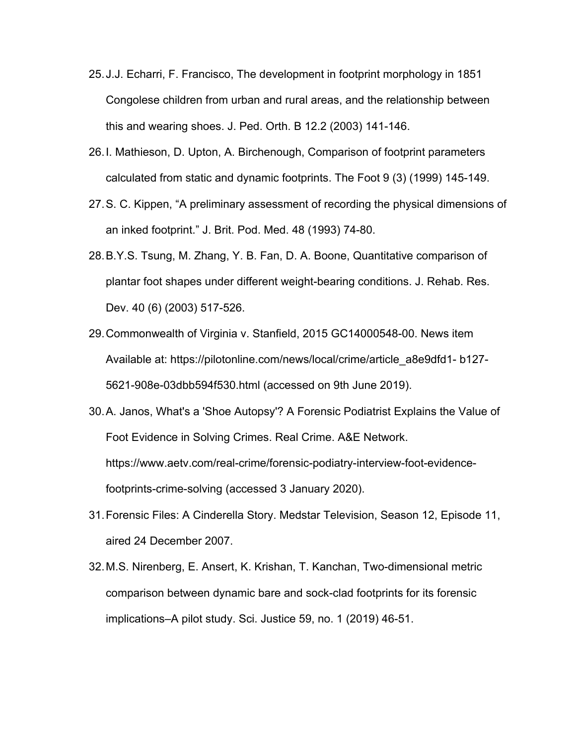- 25.J.J. Echarri, F. Francisco, The development in footprint morphology in 1851 Congolese children from urban and rural areas, and the relationship between this and wearing shoes. J. Ped. Orth. B 12.2 (2003) 141-146.
- 26.I. Mathieson, D. Upton, A. Birchenough, Comparison of footprint parameters calculated from static and dynamic footprints. The Foot 9 (3) (1999) 145-149.
- 27.S. C. Kippen, "A preliminary assessment of recording the physical dimensions of an inked footprint." J. Brit. Pod. Med. 48 (1993) 74-80.
- 28.B.Y.S. Tsung, M. Zhang, Y. B. Fan, D. A. Boone, Quantitative comparison of plantar foot shapes under different weight-bearing conditions. J. Rehab. Res. Dev. 40 (6) (2003) 517-526.
- 29.Commonwealth of Virginia v. Stanfield, 2015 GC14000548-00. News item Available at: https://pilotonline.com/news/local/crime/article\_a8e9dfd1- b127- 5621-908e-03dbb594f530.html (accessed on 9th June 2019).
- 30.A. Janos, What's a 'Shoe Autopsy'? A Forensic Podiatrist Explains the Value of Foot Evidence in Solving Crimes. Real Crime. A&E Network. https://www.aetv.com/real-crime/forensic-podiatry-interview-foot-evidencefootprints-crime-solving (accessed 3 January 2020).
- 31.Forensic Files: A Cinderella Story. Medstar Television, Season 12, Episode 11, aired 24 December 2007.
- 32.M.S. Nirenberg, E. Ansert, K. Krishan, T. Kanchan, Two-dimensional metric comparison between dynamic bare and sock-clad footprints for its forensic implications–A pilot study. Sci. Justice 59, no. 1 (2019) 46-51.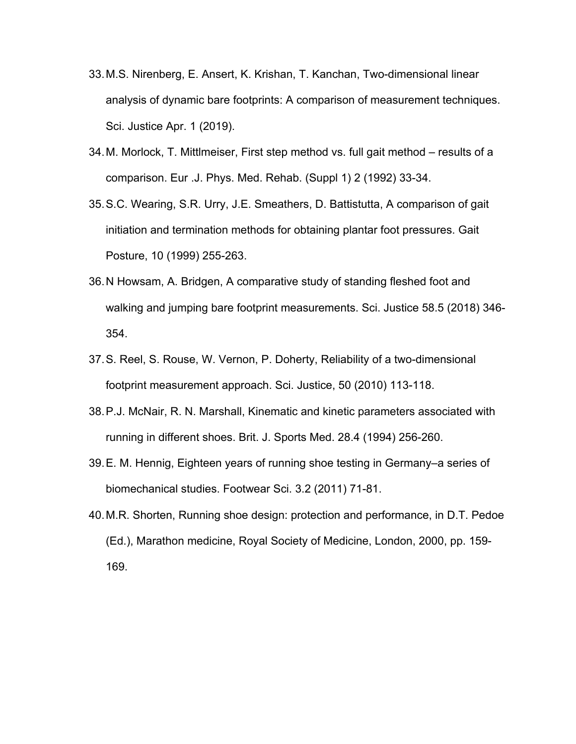- 33.M.S. Nirenberg, E. Ansert, K. Krishan, T. Kanchan, Two-dimensional linear analysis of dynamic bare footprints: A comparison of measurement techniques. Sci. Justice Apr. 1 (2019).
- 34.M. Morlock, T. Mittlmeiser, First step method vs. full gait method results of a comparison. Eur .J. Phys. Med. Rehab. (Suppl 1) 2 (1992) 33-34.
- 35.S.C. Wearing, S.R. Urry, J.E. Smeathers, D. Battistutta, A comparison of gait initiation and termination methods for obtaining plantar foot pressures. Gait Posture, 10 (1999) 255-263.
- 36.N Howsam, A. Bridgen, A comparative study of standing fleshed foot and walking and jumping bare footprint measurements. Sci. Justice 58.5 (2018) 346- 354.
- 37.S. Reel, S. Rouse, W. Vernon, P. Doherty, Reliability of a two-dimensional footprint measurement approach. Sci. Justice, 50 (2010) 113-118.
- 38.P.J. McNair, R. N. Marshall, Kinematic and kinetic parameters associated with running in different shoes. Brit. J. Sports Med. 28.4 (1994) 256-260.
- 39.E. M. Hennig, Eighteen years of running shoe testing in Germany–a series of biomechanical studies. Footwear Sci. 3.2 (2011) 71-81.
- 40.M.R. Shorten, Running shoe design: protection and performance, in D.T. Pedoe (Ed.), Marathon medicine, Royal Society of Medicine, London, 2000, pp. 159- 169.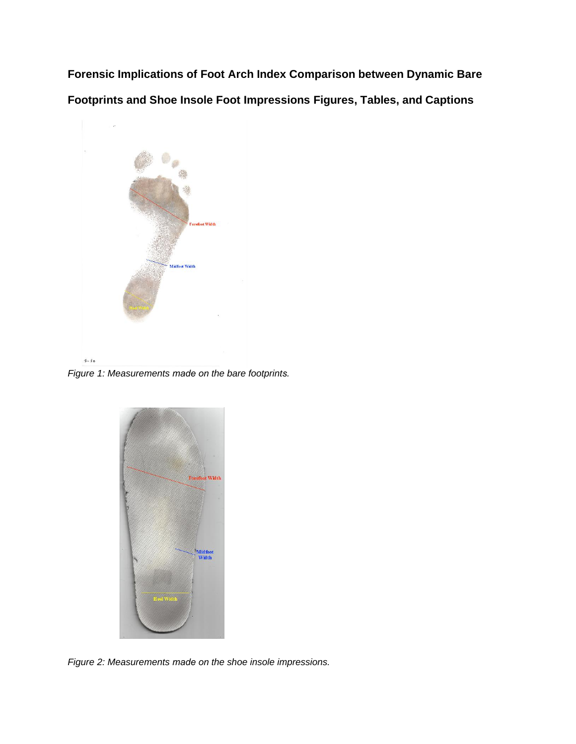**Forensic Implications of Foot Arch Index Comparison between Dynamic Bare Footprints and Shoe Insole Foot Impressions Figures, Tables, and Captions**



*Figure 1: Measurements made on the bare footprints.*



*Figure 2: Measurements made on the shoe insole impressions.*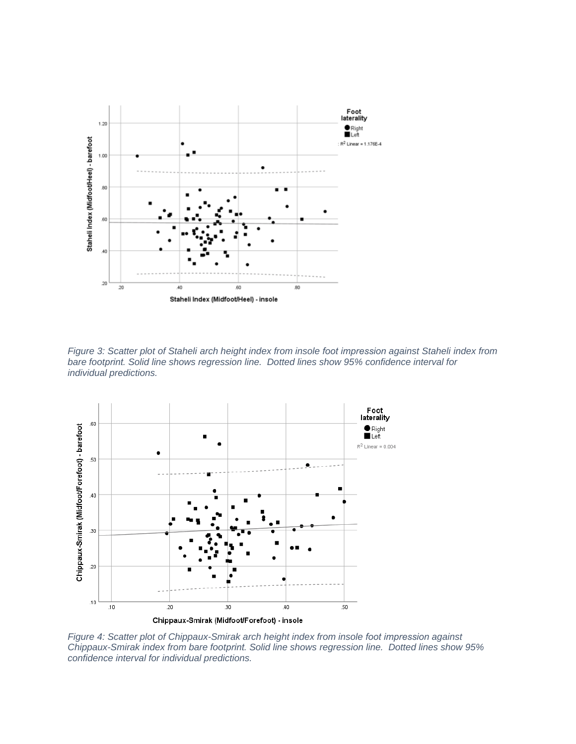

*Figure 3: Scatter plot of Staheli arch height index from insole foot impression against Staheli index from bare footprint. Solid line shows regression line. Dotted lines show 95% confidence interval for individual predictions.* 



*Figure 4: Scatter plot of Chippaux-Smirak arch height index from insole foot impression against Chippaux-Smirak index from bare footprint. Solid line shows regression line. Dotted lines show 95% confidence interval for individual predictions.*